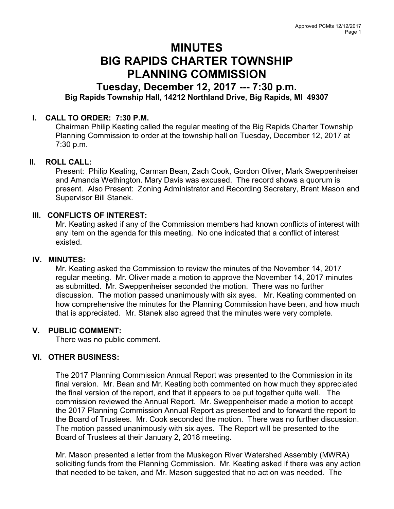# MINUTES BIG RAPIDS CHARTER TOWNSHIP PLANNING COMMISSION

## Tuesday, December 12, 2017 --- 7:30 p.m. Big Rapids Township Hall, 14212 Northland Drive, Big Rapids, MI 49307

## I. CALL TO ORDER: 7:30 P.M.

Chairman Philip Keating called the regular meeting of the Big Rapids Charter Township Planning Commission to order at the township hall on Tuesday, December 12, 2017 at 7:30 p.m.

## II. ROLL CALL:

Present: Philip Keating, Carman Bean, Zach Cook, Gordon Oliver, Mark Sweppenheiser and Amanda Wethington. Mary Davis was excused. The record shows a quorum is present. Also Present: Zoning Administrator and Recording Secretary, Brent Mason and Supervisor Bill Stanek.

## III. CONFLICTS OF INTEREST:

Mr. Keating asked if any of the Commission members had known conflicts of interest with any item on the agenda for this meeting. No one indicated that a conflict of interest existed.

#### IV. MINUTES:

Mr. Keating asked the Commission to review the minutes of the November 14, 2017 regular meeting. Mr. Oliver made a motion to approve the November 14, 2017 minutes as submitted. Mr. Sweppenheiser seconded the motion. There was no further discussion. The motion passed unanimously with six ayes. Mr. Keating commented on how comprehensive the minutes for the Planning Commission have been, and how much that is appreciated. Mr. Stanek also agreed that the minutes were very complete.

#### V. PUBLIC COMMENT:

There was no public comment.

## VI. OTHER BUSINESS:

The 2017 Planning Commission Annual Report was presented to the Commission in its final version. Mr. Bean and Mr. Keating both commented on how much they appreciated the final version of the report, and that it appears to be put together quite well. The commission reviewed the Annual Report. Mr. Sweppenheiser made a motion to accept the 2017 Planning Commission Annual Report as presented and to forward the report to the Board of Trustees. Mr. Cook seconded the motion. There was no further discussion. The motion passed unanimously with six ayes. The Report will be presented to the Board of Trustees at their January 2, 2018 meeting.

Mr. Mason presented a letter from the Muskegon River Watershed Assembly (MWRA) soliciting funds from the Planning Commission. Mr. Keating asked if there was any action that needed to be taken, and Mr. Mason suggested that no action was needed. The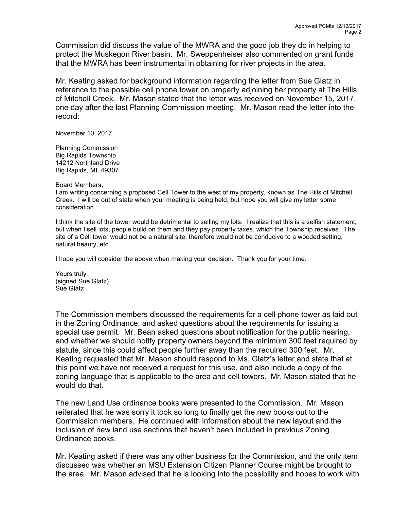Commission did discuss the value of the MWRA and the good job they do in helping to protect the Muskegon River basin. Mr. Sweppenheiser also commented on grant funds that the MWRA has been instrumental in obtaining for river projects in the area.

Mr. Keating asked for background information regarding the letter from Sue Glatz in reference to the possible cell phone tower on property adjoining her property at The Hills of Mitchell Creek. Mr. Mason stated that the letter was received on November 15, 2017, one day after the last Planning Commission meeting. Mr. Mason read the letter into the record:

November 10, 2017

Planning Commission Big Rapids Township 14212 Northland Drive Big Rapids, MI 49307

#### Board Members,

I am writing concerning a proposed Cell Tower to the west of my property, known as The Hills of Mitchell Creek. I will be out of state when your meeting is being held, but hope you will give my letter some consideration.

I think the site of the tower would be detrimental to selling my lots. I realize that this is a selfish statement, but when I sell lots, people build on them and they pay property taxes, which the Township receives. The site of a Cell tower would not be a natural site, therefore would not be conducive to a wooded setting, natural beauty, etc.

I hope you will consider the above when making your decision. Thank you for your time.

Yours truly, (signed Sue Glatz) Sue Glatz

The Commission members discussed the requirements for a cell phone tower as laid out in the Zoning Ordinance, and asked questions about the requirements for issuing a special use permit. Mr. Bean asked questions about notification for the public hearing, and whether we should notify property owners beyond the minimum 300 feet required by statute, since this could affect people further away than the required 300 feet. Mr. Keating requested that Mr. Mason should respond to Ms. Glatz's letter and state that at this point we have not received a request for this use, and also include a copy of the zoning language that is applicable to the area and cell towers. Mr. Mason stated that he would do that.

The new Land Use ordinance books were presented to the Commission. Mr. Mason reiterated that he was sorry it took so long to finally get the new books out to the Commission members. He continued with information about the new layout and the inclusion of new land use sections that haven't been included in previous Zoning Ordinance books.

Mr. Keating asked if there was any other business for the Commission, and the only item discussed was whether an MSU Extension Citizen Planner Course might be brought to the area. Mr. Mason advised that he is looking into the possibility and hopes to work with